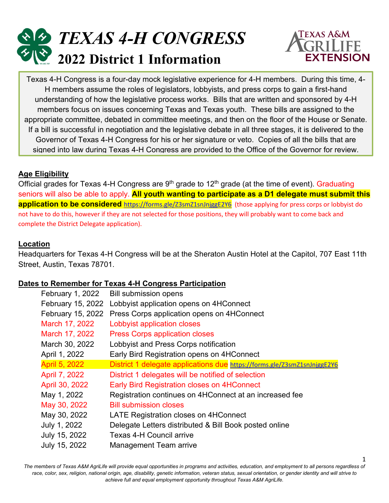



1

Texas 4-H Congress is a four-day mock legislative experience for 4-H members. During this time, 4- H members assume the roles of legislators, lobbyists, and press corps to gain a first-hand understanding of how the legislative process works. Bills that are written and sponsored by 4-H members focus on issues concerning Texas and Texas youth. These bills are assigned to the appropriate committee, debated in committee meetings, and then on the floor of the House or Senate. If a bill is successful in negotiation and the legislative debate in all three stages, it is delivered to the Governor of Texas 4-H Congress for his or her signature or veto. Copies of all the bills that are signed into law during Texas 4-H Congress are provided to the Office of the Governor for review.

### **Age Eligibility**

Official grades for Texas 4-H Congress are 9<sup>th</sup> grade to 12<sup>th</sup> grade (at the time of event). Graduating seniors will also be able to apply. **All youth wanting to participate as a D1 delegate must submit this application to be considered** <https://forms.gle/Z3smZ1snJnjggE2Y6>(those applying for press corps or lobbyist do not have to do this, however if they are not selected for those positions, they will probably want to come back and complete the District Delegate application).

#### **Location**

Headquarters for Texas 4-H Congress will be at the Sheraton Austin Hotel at the Capitol, 707 East 11th Street, Austin, Texas 78701.

#### **Dates to Remember for Texas 4-H Congress Participation**

| February 1, 2022  | <b>Bill submission opens</b>                                             |
|-------------------|--------------------------------------------------------------------------|
| February 15, 2022 | Lobbyist application opens on 4HConnect                                  |
| February 15, 2022 | Press Corps application opens on 4HConnect                               |
| March 17, 2022    | Lobbyist application closes                                              |
| March 17, 2022    | <b>Press Corps application closes</b>                                    |
| March 30, 2022    | Lobbyist and Press Corps notification                                    |
| April 1, 2022     | Early Bird Registration opens on 4HConnect                               |
| April 5, 2022     | District 1 delegate applications due https://forms.gle/Z3smZ1snJnjggE2Y6 |
| April 7, 2022     | District 1 delegates will be notified of selection                       |
| April 30, 2022    | <b>Early Bird Registration closes on 4HConnect</b>                       |
| May 1, 2022       | Registration continues on 4HConnect at an increased fee                  |
| May 30, 2022      | <b>Bill submission closes</b>                                            |
| May 30, 2022      | <b>LATE Registration closes on 4HConnect</b>                             |
| July 1, 2022      | Delegate Letters distributed & Bill Book posted online                   |
| July 15, 2022     | <b>Texas 4-H Council arrive</b>                                          |
| July 15, 2022     | <b>Management Team arrive</b>                                            |

The members of Texas A&M AgriLife will provide equal opportunities in programs and activities, education, and employment to all persons regardless of *race, color, sex, religion, national origin, age, disability, genetic information, veteran status, sexual orientation, or gender identity and will strive to achieve full and equal employment opportunity throughout Texas A&M AgriLife.*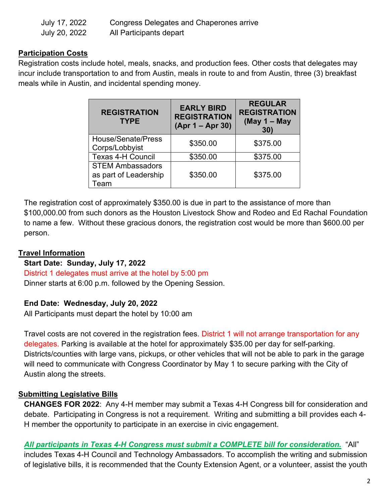| July 17, 2022 | Congress Delegates and Chaperones arrive |
|---------------|------------------------------------------|
| July 20, 2022 | All Participants depart                  |

### **Participation Costs**

Registration costs include hotel, meals, snacks, and production fees. Other costs that delegates may incur include transportation to and from Austin, meals in route to and from Austin, three (3) breakfast meals while in Austin, and incidental spending money.

| <b>REGISTRATION</b><br><b>TYPE</b>                      | <b>EARLY BIRD</b><br><b>REGISTRATION</b><br>$(Apr 1 - Apr 30)$ | <b>REGULAR</b><br><b>REGISTRATION</b><br>(May $1 - May$<br>30) |  |
|---------------------------------------------------------|----------------------------------------------------------------|----------------------------------------------------------------|--|
| House/Senate/Press<br>Corps/Lobbyist                    | \$350.00                                                       | \$375.00                                                       |  |
| <b>Texas 4-H Council</b>                                | \$350.00                                                       | \$375.00                                                       |  |
| <b>STEM Ambassadors</b><br>as part of Leadership<br>eam | \$350.00                                                       | \$375.00                                                       |  |

The registration cost of approximately \$350.00 is due in part to the assistance of more than \$100,000.00 from such donors as the Houston Livestock Show and Rodeo and Ed Rachal Foundation to name a few. Without these gracious donors, the registration cost would be more than \$600.00 per person.

#### **Travel Information**

#### **Start Date: Sunday, July 17, 2022**

District 1 delegates must arrive at the hotel by 5:00 pm Dinner starts at 6:00 p.m. followed by the Opening Session.

#### **End Date: Wednesday, July 20, 2022**

All Participants must depart the hotel by 10:00 am

Travel costs are not covered in the registration fees. District 1 will not arrange transportation for any delegates. Parking is available at the hotel for approximately \$35.00 per day for self-parking. Districts/counties with large vans, pickups, or other vehicles that will not be able to park in the garage will need to communicate with Congress Coordinator by May 1 to secure parking with the City of Austin along the streets.

## **Submitting Legislative Bills**

**CHANGES FOR 2022**: Any 4-H member may submit a Texas 4-H Congress bill for consideration and debate. Participating in Congress is not a requirement. Writing and submitting a bill provides each 4- H member the opportunity to participate in an exercise in civic engagement.

*All participants in Texas 4-H Congress must submit a COMPLETE bill for consideration.* "All"

includes Texas 4-H Council and Technology Ambassadors. To accomplish the writing and submission of legislative bills, it is recommended that the County Extension Agent, or a volunteer, assist the youth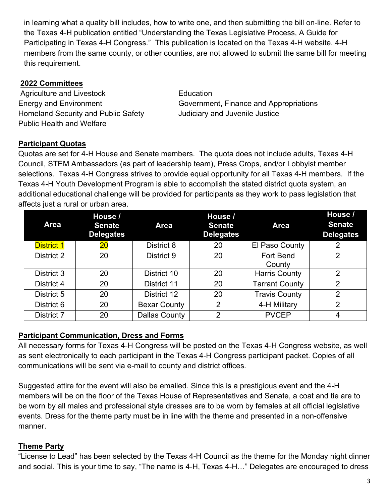in learning what a quality bill includes, how to write one, and then submitting the bill on-line. Refer to the Texas 4-H publication entitled "Understanding the Texas Legislative Process, A Guide for Participating in Texas 4-H Congress." This publication is located on the Texas 4-H website. 4-H members from the same county, or other counties, are not allowed to submit the same bill for meeting this requirement.

### **2022 Committees**

Agriculture and Livestock **Education** Homeland Security and Public Safety Judiciary and Juvenile Justice Public Health and Welfare

Energy and Environment **Energy and Environment** Government, Finance and Appropriations

## **Participant Quotas**

Quotas are set for 4-H House and Senate members. The quota does not include adults, Texas 4-H Council, STEM Ambassadors (as part of leadership team), Press Crops, and/or Lobbyist member selections. Texas 4-H Congress strives to provide equal opportunity for all Texas 4-H members. If the Texas 4-H Youth Development Program is able to accomplish the stated district quota system, an additional educational challenge will be provided for participants as they work to pass legislation that affects just a rural or urban area.

| <b>Area</b>       | House /<br><b>Senate</b><br><b>Delegates</b> | Area                | House /<br><b>Senate</b><br><b>Delegates</b> | <b>Area</b>           | House /<br><b>Senate</b><br><b>Delegates</b> |
|-------------------|----------------------------------------------|---------------------|----------------------------------------------|-----------------------|----------------------------------------------|
| <b>District 1</b> | $20 \,$                                      | District 8          | 20                                           | El Paso County        | 2                                            |
| District 2        | 20                                           | District 9          | 20                                           | Fort Bend<br>County   | 2                                            |
| District 3        | 20                                           | District 10         | 20                                           | <b>Harris County</b>  | $\overline{2}$                               |
| District 4        | 20                                           | District 11         | 20                                           | <b>Tarrant County</b> | 2                                            |
| District 5        | 20                                           | District 12         | 20                                           | <b>Travis County</b>  | $\overline{2}$                               |
| District 6        | 20                                           | <b>Bexar County</b> | $\overline{2}$                               | 4-H Military          | $\overline{2}$                               |
| District 7        | 20                                           | Dallas County       | $\overline{2}$                               | <b>PVCEP</b>          |                                              |

## **Participant Communication, Dress and Forms**

All necessary forms for Texas 4-H Congress will be posted on the Texas 4-H Congress website, as well as sent electronically to each participant in the Texas 4-H Congress participant packet. Copies of all communications will be sent via e-mail to county and district offices.

Suggested attire for the event will also be emailed. Since this is a prestigious event and the 4-H members will be on the floor of the Texas House of Representatives and Senate, a coat and tie are to be worn by all males and professional style dresses are to be worn by females at all official legislative events. Dress for the theme party must be in line with the theme and presented in a non-offensive manner.

## **Theme Party**

"License to Lead" has been selected by the Texas 4-H Council as the theme for the Monday night dinner and social. This is your time to say, "The name is 4-H, Texas 4-H…" Delegates are encouraged to dress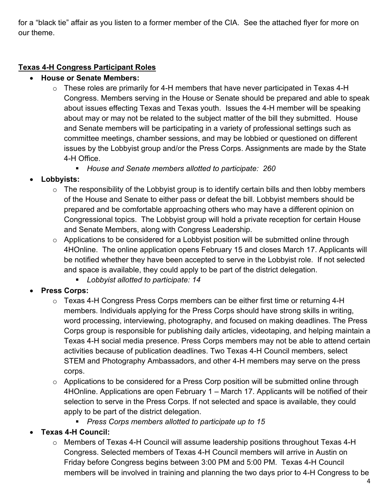for a "black tie" affair as you listen to a former member of the CIA. See the attached flyer for more on our theme.

# **Texas 4-H Congress Participant Roles**

# • **House or Senate Members:**

- $\circ$  These roles are primarily for 4-H members that have never participated in Texas 4-H Congress. Members serving in the House or Senate should be prepared and able to speak about issues effecting Texas and Texas youth. Issues the 4-H member will be speaking about may or may not be related to the subject matter of the bill they submitted. House and Senate members will be participating in a variety of professional settings such as committee meetings, chamber sessions, and may be lobbied or questioned on different issues by the Lobbyist group and/or the Press Corps. Assignments are made by the State 4-H Office.
	- *House and Senate members allotted to participate: 260*
- **Lobbyists:**
	- $\circ$  The responsibility of the Lobbyist group is to identify certain bills and then lobby members of the House and Senate to either pass or defeat the bill. Lobbyist members should be prepared and be comfortable approaching others who may have a different opinion on Congressional topics. The Lobbyist group will hold a private reception for certain House and Senate Members, along with Congress Leadership.
	- o Applications to be considered for a Lobbyist position will be submitted online through 4HOnline. The online application opens February 15 and closes March 17. Applicants will be notified whether they have been accepted to serve in the Lobbyist role. If not selected and space is available, they could apply to be part of the district delegation.
		- *Lobbyist allotted to participate: 14*

# • **Press Corps:**

- o Texas 4-H Congress Press Corps members can be either first time or returning 4-H members. Individuals applying for the Press Corps should have strong skills in writing, word processing, interviewing, photography, and focused on making deadlines. The Press Corps group is responsible for publishing daily articles, videotaping, and helping maintain a Texas 4-H social media presence. Press Corps members may not be able to attend certain activities because of publication deadlines. Two Texas 4-H Council members, select STEM and Photography Ambassadors, and other 4-H members may serve on the press corps.
- o Applications to be considered for a Press Corp position will be submitted online through 4HOnline. Applications are open February 1 – March 17. Applicants will be notified of their selection to serve in the Press Corps. If not selected and space is available, they could apply to be part of the district delegation.
	- *Press Corps members allotted to participate up to 15*

# • **Texas 4-H Council:**

o Members of Texas 4-H Council will assume leadership positions throughout Texas 4-H Congress. Selected members of Texas 4-H Council members will arrive in Austin on Friday before Congress begins between 3:00 PM and 5:00 PM. Texas 4-H Council members will be involved in training and planning the two days prior to 4-H Congress to be